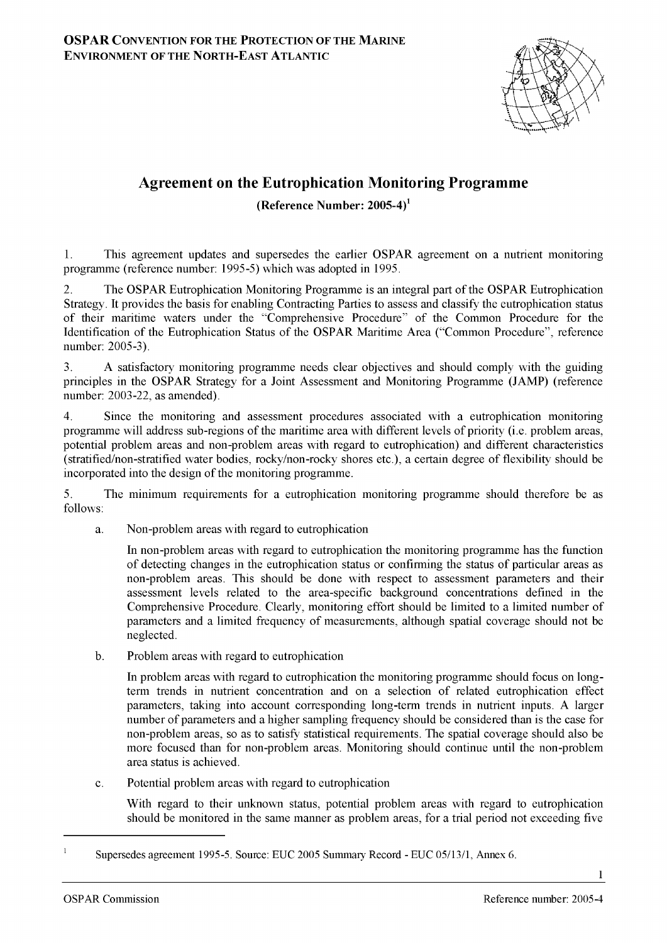

## **Agreement on the Eutrophication Monitoring Programme**

**(Reference Number: 2005-4)1**

1. This agreement updates and supersedes the earlier OSPAR agreement on a nutrient monitoring programme (reference number: 1995-5) which was adopted in 1995.

2. The OSPAR Eutrophication Monitoring Programme is an integral part of the OSPAR Eutrophication Strategy. It provides the basis for enabling Contracting Parties to assess and classify the eutrophication status of their maritime waters under the "Comprehensive Procedure" of the Common Procedure for the Identification of the Eutrophication Status of the OSPAR Maritime Area ("Common Procedure", reference number: 2005-3).

3. A satisfactory monitoring programme needs clear objectives and should comply with the guiding principles in the OSPAR Strategy for a Joint Assessment and Monitoring Programme (JAMP) (reference number: 2003-22, as amended).

4. Since the monitoring and assessment procedures associated with a eutrophication monitoring programme will address sub-regions of the maritime area with different levels of priority (i.e. problem areas, potential problem areas and non-problem areas with regard to eutrophication) and different characteristics (stratified/non-stratified water bodies, rocky/non-rocky shores etc.), a certain degree of flexibility should be incorporated into the design of the monitoring programme.

5. The minimum requirements for a eutrophication monitoring programme should therefore be as follows:

a. Non-problem areas with regard to eutrophication

In non-problem areas with regard to eutrophication the monitoring programme has the function of detecting changes in the eutrophication status or confirming the status of particular areas as non-problem areas. This should be done with respect to assessment parameters and their assessment levels related to the area-specific background concentrations defined in the Comprehensive Procedure. Clearly, monitoring effort should be limited to a limited number of parameters and a limited frequency of measurements, although spatial coverage should not be neglected.

b. Problem areas with regard to eutrophication

In problem areas with regard to eutrophication the monitoring programme should focus on longterm trends in nutrient concentration and on a selection of related eutrophication effect parameters, taking into account corresponding long-term trends in nutrient inputs. A larger number of parameters and a higher sampling frequency should be considered than is the case for non-problem areas, so as to satisfy statistical requirements. The spatial coverage should also be more focused than for non-problem areas. Monitoring should continue until the non-problem area status is achieved.

c. Potential problem areas with regard to eutrophication

With regard to their unknown status, potential problem areas with regard to eutrophication should be monitored in the same manner as problem areas, for a trial period not exceeding five

 $\overline{1}$ Supersedes agreement 1995-5. Source: EUC 2005 Summary Record - EUC 05/13/1, Annex <sup>6</sup> .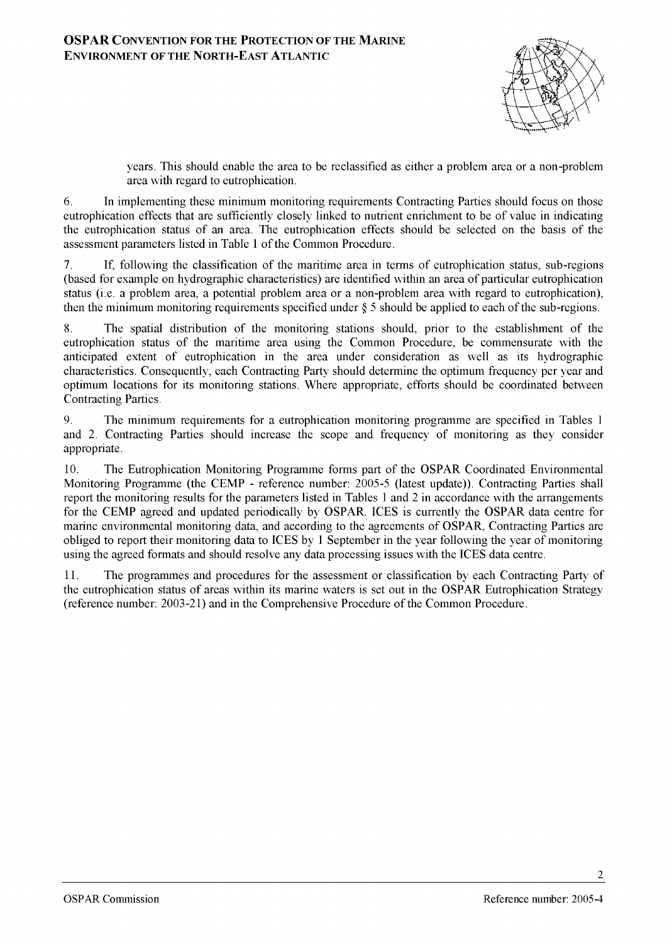

years. This should enable the area to be reclassified as either a problem area or a non-problem area with regard to eutrophication.

<sup>6</sup> . In implementing these minimum monitoring requirements Contracting Parties should focus on those eutrophication effects that are sufficiently closely linked to nutrient enrichment to be of value in indicating the eutrophication status of an area. The eutrophication effects should be selected on the basis of the assessment parameters listed in Table 1 of the Common Procedure.

7. If, following the classification of the maritime area in terms of eutrophication status, sub-regions (based for example on hydrographic characteristics) are identified within an area of particular eutrophication status (i.e. a problem area, a potential problem area or a non-problem area with regard to eutrophication), then the minimum monitoring requirements specified under  $\S$  5 should be applied to each of the sub-regions.

8. The spatial distribution of the monitoring stations should, prior to the establishment of the eutrophication status of the maritime area using the Common Procedure, be commensurate with the anticipated extent of eutrophication in the area under consideration as well as its hydrographic characteristics. Consequently, each Contracting Party should determine the optimum frequency per year and optimum locations for its monitoring stations. Where appropriate, efforts should be coordinated between Contracting Parties.

9. The minimum requirements for a eutrophication monitoring programme are specified in Tables 1 and 2. Contracting Parties should increase the scope and frequency of monitoring as they consider appropriate.

10. The Eutrophication Monitoring Programme forms part of the OSPAR Coordinated Environmental Monitoring Programme (the CEMP - reference number: 2005-5 (latest update)). Contracting Parties shall report the monitoring results for the parameters listed in Tables 1 and 2 in accordance with the arrangements for the CEMP agreed and updated periodically by OSPAR. ICES is currently the OSPAR data centre for marine environmental monitoring data, and according to the agreements of OSPAR, Contracting Parties are obliged to report their monitoring data to ICES by 1 September in the year following the year of monitoring using the agreed formats and should resolve any data processing issues with the ICES data centre.

11. The programmes and procedures for the assessment or classification by each Contracting Party of the eutrophication status of areas within its marine waters is set out in the OSPAR Eutrophication Strategy (reference number: 2003-21) and in the Comprehensive Procedure o f the Common Procedure.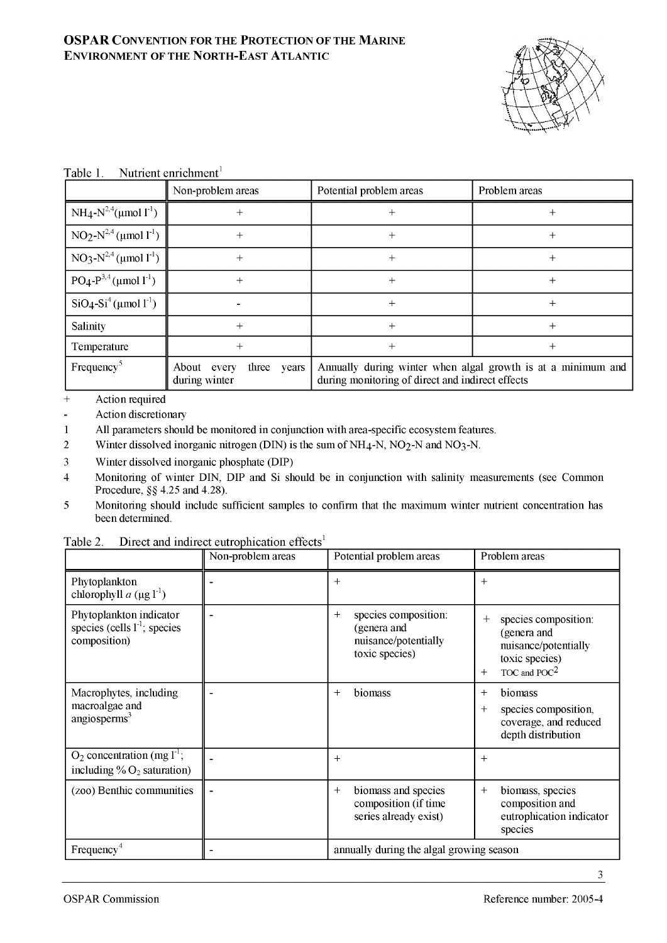

| Nutrient enrichment <sup>1</sup><br>Table 1. |  |
|----------------------------------------------|--|
|----------------------------------------------|--|

|                                        | Non-problem areas                           | Potential problem areas                                                                                          | Problem areas |
|----------------------------------------|---------------------------------------------|------------------------------------------------------------------------------------------------------------------|---------------|
| $NH_4-N^{2,4}(\mu \text{mol } 1^{-1})$ |                                             |                                                                                                                  |               |
| $NO2-N2,4$ (µmol 1 <sup>-1</sup> )     |                                             | $\, + \,$                                                                                                        | $^+$          |
| $NO3-N2,4$ (µmol 1 <sup>-1</sup> )     |                                             | ┿                                                                                                                | +             |
| $PO_4-P^{3,4}(\mu \text{mol } 1^{1})$  |                                             | $^+$                                                                                                             | $^+$          |
| $SiO4-Si4$ (µmol 1 <sup>-1</sup> )     |                                             | ┿                                                                                                                | ┿             |
| Salinity                               |                                             | ┿                                                                                                                | $^+$          |
| Temperature                            |                                             | $^+$                                                                                                             | +             |
| Frequency <sup>5</sup>                 | three years<br>About every<br>during winter | Annually during winter when algal growth is at a minimum and<br>during monitoring of direct and indirect effects |               |

+ Action required

 $\overline{a}$ Action discretionary

1 All parameters should be monitored in conjunction with area-specific ecosystem features.

2 Winter dissolved inorganic nitrogen (DIN) is the sum of NH<sub>4</sub>-N, NO<sub>2</sub>-N and NO<sub>3</sub>-N.

3 Winter dissolved inorganic phosphate (DIP)

4 Monitoring of winter DIN, DIP and Si should be in conjunction with salinity measurements (see Common Procedure, §§ 4.25 and 4.28).

5 Monitoring should include sufficient samples to confirm that the maximum winter nutrient concentration has been determined.

|                                                                              | Non-problem areas | Potential problem areas                                                                | P                        |
|------------------------------------------------------------------------------|-------------------|----------------------------------------------------------------------------------------|--------------------------|
| Phytoplankton<br>chlorophyll $a$ ( $\mu$ g l <sup>-1</sup> )                 |                   | $^+$                                                                                   | $^{+}$                   |
| Phytoplankton indicator<br>species (cells $1^{-1}$ ; species<br>composition) |                   | species composition:<br>$\pm$<br>(genera and<br>nuisance/potentially<br>toxic species) | $^{+}$                   |
| Macrophytes, including<br>macroalgae and                                     |                   | biomass<br>$\pm$                                                                       | $^{+}$<br>$\overline{+}$ |

Table 2. Direct and indirect eutrophication effects<sup>1</sup>

| species (cells 1); species<br>composition)                                      | (genera and<br>nuisance/potentially<br>toxic species)                         | (genera and<br>nuisance/potentially<br>toxic species)<br>TOC and $POC2$<br>$+$                   |
|---------------------------------------------------------------------------------|-------------------------------------------------------------------------------|--------------------------------------------------------------------------------------------------|
| Macrophytes, including<br>macroalgae and<br>angiosperms $3$                     | biomass<br>$^{+}$                                                             | biomass<br>$\,+\,$<br>species composition,<br>$+$<br>coverage, and reduced<br>depth distribution |
| $O_2$ concentration (mg $1^{-1}$ ;<br>including $\%$ O <sub>2</sub> saturation) | $^{+}$                                                                        | $+$                                                                                              |
| (zoo) Benthic communities                                                       | biomass and species<br>$\pm$<br>composition (if time<br>series already exist) | biomass, species<br>$^{+}$<br>composition and<br>eutrophication indicator<br>species             |
| Frequency <sup>4</sup>                                                          | annually during the algal growing season                                      |                                                                                                  |

Problem areas

+ species composition: